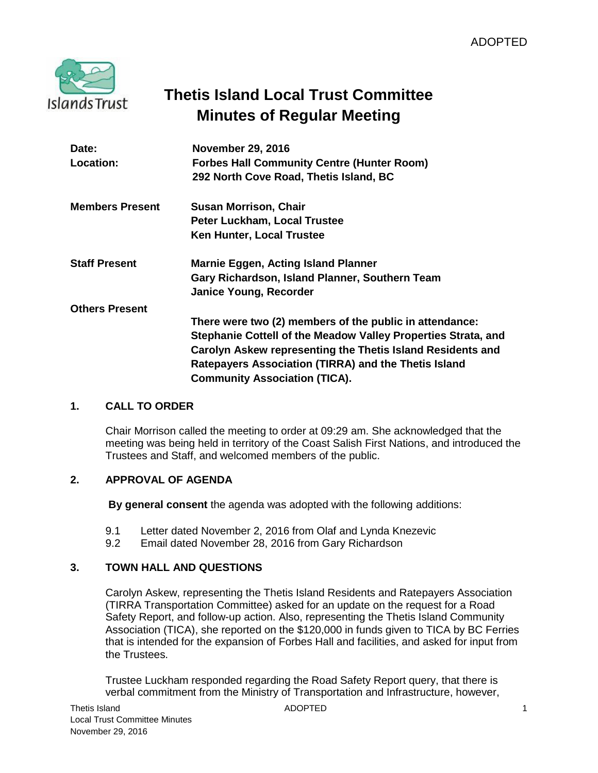

# **Thetis Island Local Trust Committee Minutes of Regular Meeting**

| Date:                  | <b>November 29, 2016</b>                                      |
|------------------------|---------------------------------------------------------------|
| Location:              | <b>Forbes Hall Community Centre (Hunter Room)</b>             |
|                        | 292 North Cove Road, Thetis Island, BC                        |
| <b>Members Present</b> | <b>Susan Morrison, Chair</b>                                  |
|                        | Peter Luckham, Local Trustee                                  |
|                        | <b>Ken Hunter, Local Trustee</b>                              |
| <b>Staff Present</b>   | <b>Marnie Eggen, Acting Island Planner</b>                    |
|                        | Gary Richardson, Island Planner, Southern Team                |
|                        | <b>Janice Young, Recorder</b>                                 |
| <b>Others Present</b>  |                                                               |
|                        | There were two (2) members of the public in attendance:       |
|                        | Stephanie Cottell of the Meadow Valley Properties Strata, and |
|                        | Carolyn Askew representing the Thetis Island Residents and    |
|                        | Ratepayers Association (TIRRA) and the Thetis Island          |
|                        | <b>Community Association (TICA).</b>                          |

# **1. CALL TO ORDER**

Chair Morrison called the meeting to order at 09:29 am. She acknowledged that the meeting was being held in territory of the Coast Salish First Nations, and introduced the Trustees and Staff, and welcomed members of the public.

# **2. APPROVAL OF AGENDA**

**By general consent** the agenda was adopted with the following additions:

- 9.1 Letter dated November 2, 2016 from Olaf and Lynda Knezevic<br>9.2 Email dated November 28, 2016 from Gary Richardson
- 9.2 Email dated November 28, 2016 from Gary Richardson

# **3. TOWN HALL AND QUESTIONS**

Carolyn Askew, representing the Thetis Island Residents and Ratepayers Association (TIRRA Transportation Committee) asked for an update on the request for a Road Safety Report, and follow-up action. Also, representing the Thetis Island Community Association (TICA), she reported on the \$120,000 in funds given to TICA by BC Ferries that is intended for the expansion of Forbes Hall and facilities, and asked for input from the Trustees.

Trustee Luckham responded regarding the Road Safety Report query, that there is verbal commitment from the Ministry of Transportation and Infrastructure, however,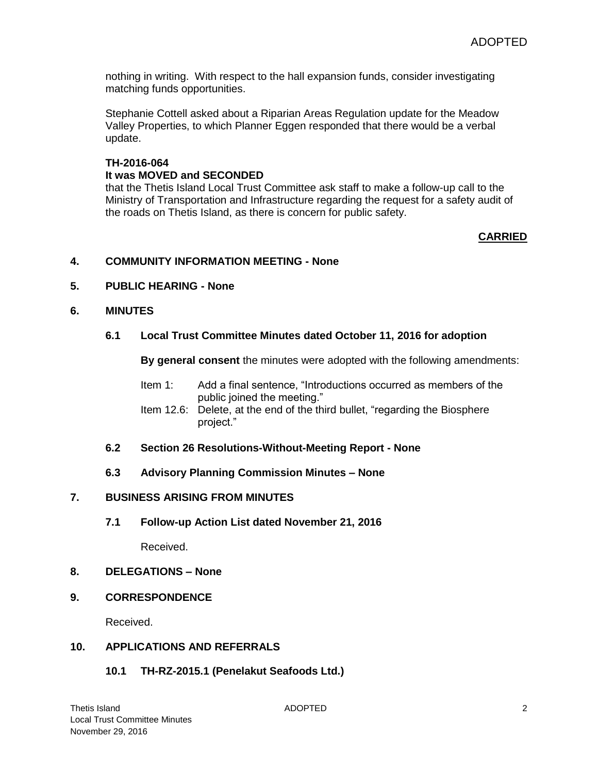nothing in writing. With respect to the hall expansion funds, consider investigating matching funds opportunities.

Stephanie Cottell asked about a Riparian Areas Regulation update for the Meadow Valley Properties, to which Planner Eggen responded that there would be a verbal update.

# **TH-2016-064 It was MOVED and SECONDED**

that the Thetis Island Local Trust Committee ask staff to make a follow-up call to the Ministry of Transportation and Infrastructure regarding the request for a safety audit of the roads on Thetis Island, as there is concern for public safety.

# **CARRIED**

# **4. COMMUNITY INFORMATION MEETING - None**

## **5. PUBLIC HEARING - None**

#### **6. MINUTES**

## **6.1 Local Trust Committee Minutes dated October 11, 2016 for adoption**

**By general consent** the minutes were adopted with the following amendments:

- Item 1: Add a final sentence, "Introductions occurred as members of the public joined the meeting."
- Item 12.6: Delete, at the end of the third bullet, "regarding the Biosphere project."

#### **6.2 Section 26 Resolutions-Without-Meeting Report - None**

#### **6.3 Advisory Planning Commission Minutes – None**

## **7. BUSINESS ARISING FROM MINUTES**

**7.1 Follow-up Action List dated November 21, 2016**

Received.

#### **8. DELEGATIONS – None**

#### **9. CORRESPONDENCE**

Received.

# **10. APPLICATIONS AND REFERRALS**

## **10.1 TH-RZ-2015.1 (Penelakut Seafoods Ltd.)**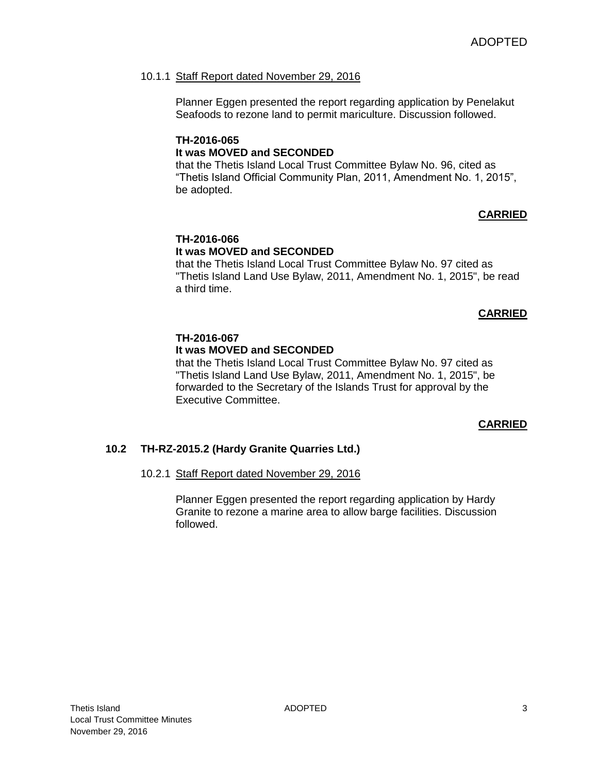#### 10.1.1 Staff Report dated November 29, 2016

Planner Eggen presented the report regarding application by Penelakut Seafoods to rezone land to permit mariculture. Discussion followed.

# **TH-2016-065 It was MOVED and SECONDED**

that the Thetis Island Local Trust Committee Bylaw No. 96, cited as "Thetis Island Official Community Plan, 2011, Amendment No. 1, 2015", be adopted.

# **CARRIED**

# **TH-2016-066 It was MOVED and SECONDED**

that the Thetis Island Local Trust Committee Bylaw No. 97 cited as "Thetis Island Land Use Bylaw, 2011, Amendment No. 1, 2015", be read a third time.

#### **CARRIED**

# **TH-2016-067 It was MOVED and SECONDED**

that the Thetis Island Local Trust Committee Bylaw No. 97 cited as "Thetis Island Land Use Bylaw, 2011, Amendment No. 1, 2015", be forwarded to the Secretary of the Islands Trust for approval by the Executive Committee.

## **CARRIED**

## **10.2 TH-RZ-2015.2 (Hardy Granite Quarries Ltd.)**

## 10.2.1 Staff Report dated November 29, 2016

Planner Eggen presented the report regarding application by Hardy Granite to rezone a marine area to allow barge facilities. Discussion followed.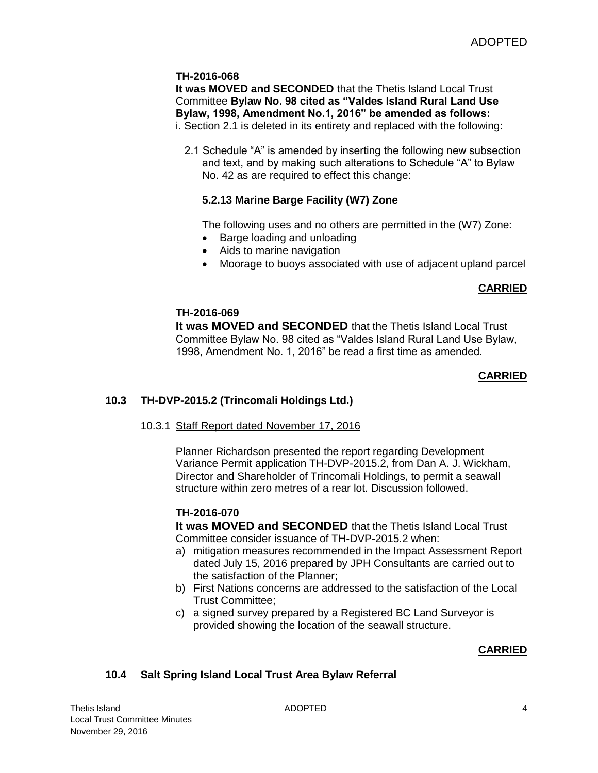## **TH-2016-068**

**It was MOVED and SECONDED** that the Thetis Island Local Trust Committee **Bylaw No. 98 cited as "Valdes Island Rural Land Use Bylaw, 1998, Amendment No.1, 2016" be amended as follows:**  i. Section 2.1 is deleted in its entirety and replaced with the following:

2.1 Schedule "A" is amended by inserting the following new subsection and text, and by making such alterations to Schedule "A" to Bylaw No. 42 as are required to effect this change:

# **5.2.13 Marine Barge Facility (W7) Zone**

The following uses and no others are permitted in the (W7) Zone:

- Barge loading and unloading
- Aids to marine navigation
- Moorage to buoys associated with use of adjacent upland parcel

## **CARRIED**

#### **TH-2016-069**

**It was MOVED and SECONDED** that the Thetis Island Local Trust Committee Bylaw No. 98 cited as "Valdes Island Rural Land Use Bylaw, 1998, Amendment No. 1, 2016" be read a first time as amended.

## **CARRIED**

## **10.3 TH-DVP-2015.2 (Trincomali Holdings Ltd.)**

## 10.3.1 Staff Report dated November 17, 2016

Planner Richardson presented the report regarding Development Variance Permit application TH-DVP-2015.2, from Dan A. J. Wickham, Director and Shareholder of Trincomali Holdings, to permit a seawall structure within zero metres of a rear lot. Discussion followed.

## **TH-2016-070**

**It was MOVED and SECONDED** that the Thetis Island Local Trust Committee consider issuance of TH-DVP-2015.2 when:

- a) mitigation measures recommended in the Impact Assessment Report dated July 15, 2016 prepared by JPH Consultants are carried out to the satisfaction of the Planner;
- b) First Nations concerns are addressed to the satisfaction of the Local Trust Committee;
- c) a signed survey prepared by a Registered BC Land Surveyor is provided showing the location of the seawall structure.

## **CARRIED**

## **10.4 Salt Spring Island Local Trust Area Bylaw Referral**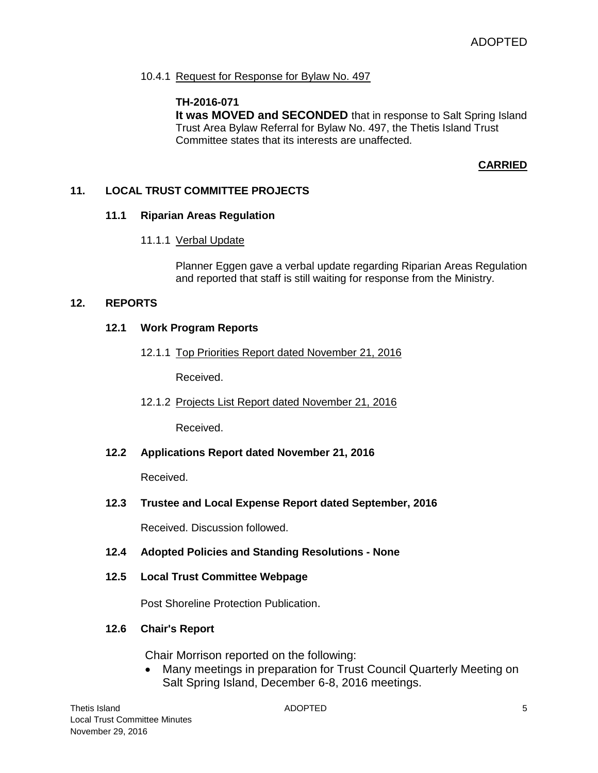## 10.4.1 Request for Response for Bylaw No. 497

**TH-2016-071 It was MOVED and SECONDED** that in response to Salt Spring Island Trust Area Bylaw Referral for Bylaw No. 497, the Thetis Island Trust Committee states that its interests are unaffected.

# **CARRIED**

## **11. LOCAL TRUST COMMITTEE PROJECTS**

#### **11.1 Riparian Areas Regulation**

#### 11.1.1 Verbal Update

Planner Eggen gave a verbal update regarding Riparian Areas Regulation and reported that staff is still waiting for response from the Ministry.

#### **12. REPORTS**

#### **12.1 Work Program Reports**

12.1.1 Top Priorities Report dated November 21, 2016

Received.

12.1.2 Projects List Report dated November 21, 2016

Received.

#### **12.2 Applications Report dated November 21, 2016**

Received.

## **12.3 Trustee and Local Expense Report dated September, 2016**

Received. Discussion followed.

## **12.4 Adopted Policies and Standing Resolutions - None**

#### **12.5 Local Trust Committee Webpage**

Post Shoreline Protection Publication.

## **12.6 Chair's Report**

Chair Morrison reported on the following:

 Many meetings in preparation for Trust Council Quarterly Meeting on Salt Spring Island, December 6-8, 2016 meetings.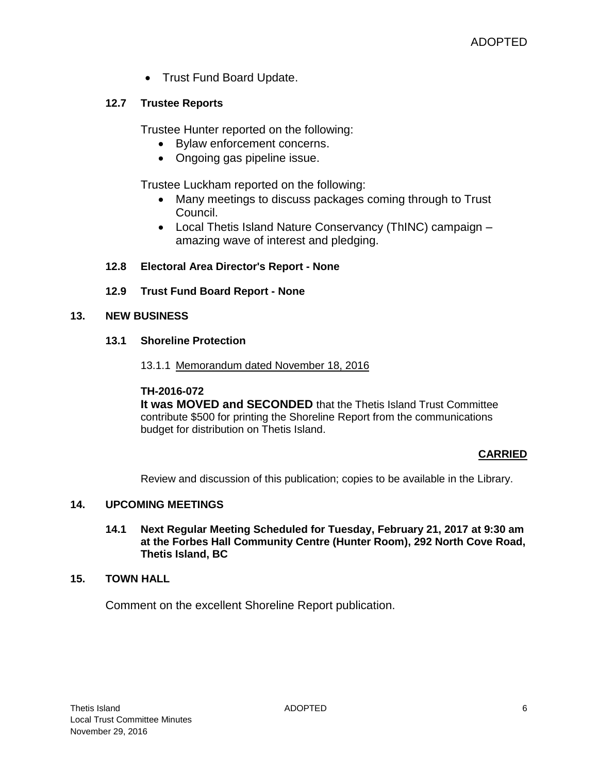• Trust Fund Board Update.

# **12.7 Trustee Reports**

Trustee Hunter reported on the following:

- Bylaw enforcement concerns.
- Ongoing gas pipeline issue.

Trustee Luckham reported on the following:

- Many meetings to discuss packages coming through to Trust Council.
- Local Thetis Island Nature Conservancy (ThINC) campaign amazing wave of interest and pledging.

## **12.8 Electoral Area Director's Report - None**

**12.9 Trust Fund Board Report - None**

## **13. NEW BUSINESS**

**13.1 Shoreline Protection**

13.1.1 Memorandum dated November 18, 2016

## **TH-2016-072**

**It was MOVED and SECONDED** that the Thetis Island Trust Committee contribute \$500 for printing the Shoreline Report from the communications budget for distribution on Thetis Island.

## **CARRIED**

Review and discussion of this publication; copies to be available in the Library.

## **14. UPCOMING MEETINGS**

**14.1 Next Regular Meeting Scheduled for Tuesday, February 21, 2017 at 9:30 am at the Forbes Hall Community Centre (Hunter Room), 292 North Cove Road, Thetis Island, BC**

## **15. TOWN HALL**

Comment on the excellent Shoreline Report publication.